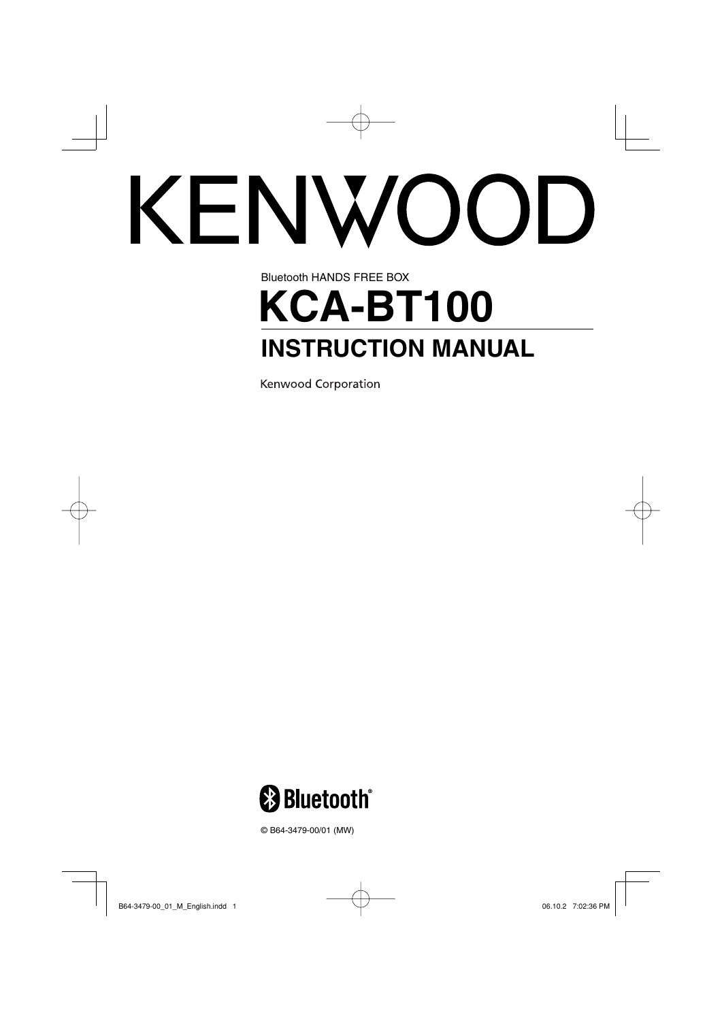# **CENWOOD**

# Bluetooth HANDS FREE BOX **KCA-BT100 INSTRUCTION MANUAL**

Kenwood Corporation



© B64-3479-00/01 (MW)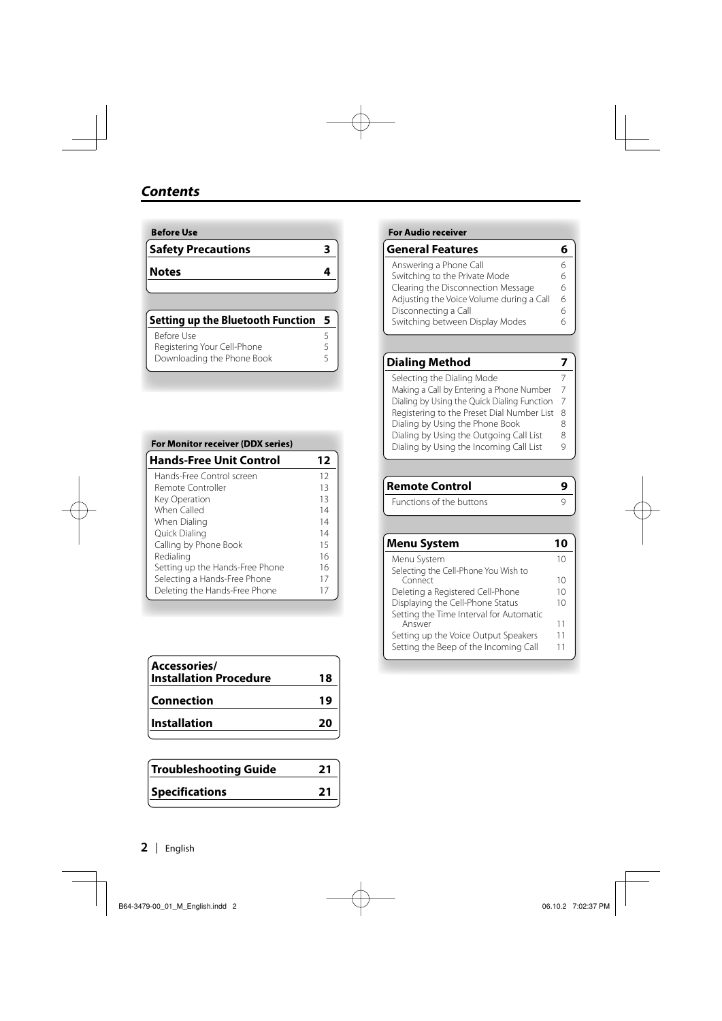| <b>Before Use</b>         |  |
|---------------------------|--|
| <b>Safety Precautions</b> |  |
| <b>Notes</b>              |  |
|                           |  |

| <b>Setting up the Bluetooth Function</b> | - 5 |
|------------------------------------------|-----|
| Before Use                               | 5   |
| Registering Your Cell-Phone              | 5   |
| Downloading the Phone Book               |     |

| <b>For Monitor receiver (DDX series)</b> |    |
|------------------------------------------|----|
| <b>Hands-Free Unit Control</b>           | 12 |
| Hands-Free Control screen                | 12 |
| Remote Controller                        | 13 |
| Key Operation                            | 13 |
| When Called                              | 14 |
| When Dialing                             | 14 |
| Quick Dialing                            | 14 |
| Calling by Phone Book                    | 15 |
| Redialing                                | 16 |
| Setting up the Hands-Free Phone          | 16 |
| Selecting a Hands-Free Phone             | 17 |
| Deleting the Hands-Free Phone            | 17 |

| Accessories/<br><b>Installation Procedure</b> | 18 |
|-----------------------------------------------|----|
| <b>Connection</b>                             | 19 |
| <b>Installation</b>                           | 20 |
|                                               |    |

| <b>Troubleshooting Guide</b> | 21 |
|------------------------------|----|
| <b>Specifications</b>        | 21 |
|                              |    |

#### **For Audio receiver**

| 6 |
|---|
| 6 |
| 6 |
| 6 |
| 6 |
| h |
|   |

#### **Dialing Method 7** Selecting the Dialing Mode<br>Making a Call by Entering a Phone Number 7 Making a Call by Entering a Phone Number 7 Dialing by Using the Quick Dialing Function 7 Registering to the Preset Dial Number List 8 Dialing by Using the Phone Book 8

| Dialing by Using the Incoming Call List |  |
|-----------------------------------------|--|
|                                         |  |
|                                         |  |

| <b>Remote Control</b>    | О |
|--------------------------|---|
| Functions of the buttons |   |

| <b>Menu System</b>                      |    |
|-----------------------------------------|----|
| Menu System                             | 10 |
| Selecting the Cell-Phone You Wish to    |    |
| Connect                                 | 10 |
| Deleting a Registered Cell-Phone        | 10 |
| Displaying the Cell-Phone Status        | 10 |
| Setting the Time Interval for Automatic |    |
| Answer                                  | 11 |
| Setting up the Voice Output Speakers    | 11 |
| Setting the Beep of the Incoming Call   | 11 |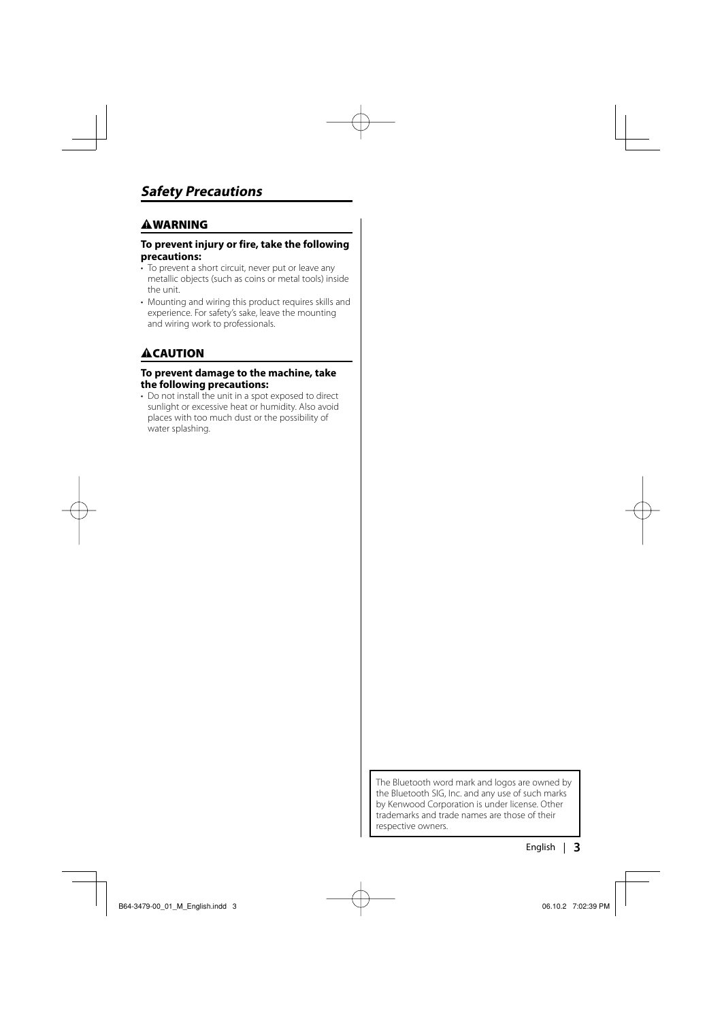#### 2**WARNING**

#### **To prevent injury or fire, take the following precautions:**

- To prevent a short circuit, never put or leave any metallic objects (such as coins or metal tools) inside the unit.
- Mounting and wiring this product requires skills and experience. For safety's sake, leave the mounting and wiring work to professionals.

#### 2**CAUTION**

#### **To prevent damage to the machine, take the following precautions:**

• Do not install the unit in a spot exposed to direct sunlight or excessive heat or humidity. Also avoid places with too much dust or the possibility of water splashing.

> The Bluetooth word mark and logos are owned by the Bluetooth SIG, Inc. and any use of such marks by Kenwood Corporation is under license. Other trademarks and trade names are those of their respective owners.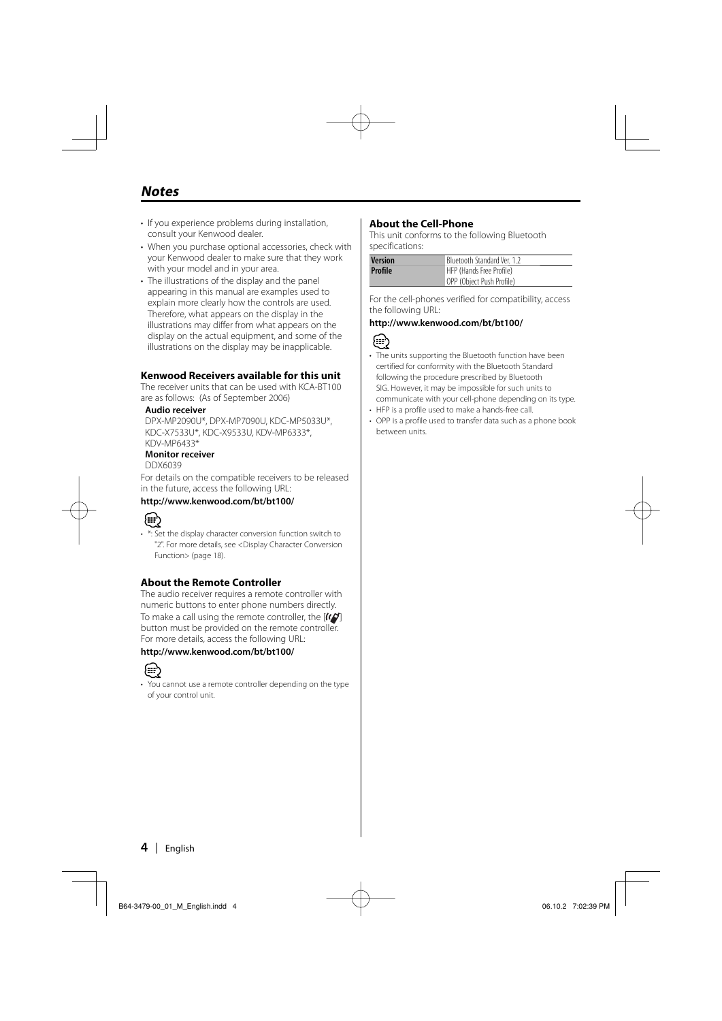#### **Notes**

- If you experience problems during installation, consult your Kenwood dealer.
- When you purchase optional accessories, check with your Kenwood dealer to make sure that they work with your model and in your area.
- The illustrations of the display and the panel appearing in this manual are examples used to explain more clearly how the controls are used. Therefore, what appears on the display in the illustrations may differ from what appears on the display on the actual equipment, and some of the illustrations on the display may be inapplicable.

#### **Kenwood Receivers available for this unit**

The receiver units that can be used with KCA-BT100 are as follows: (As of September 2006)

#### **Audio receiver**

DPX-MP2090U\*, DPX-MP7090U, KDC-MP5033U\*, KDC-X7533U\*, KDC-X9533U, KDV-MP6333\*, KDV-MP6433\*

#### **Monitor receiver**

DDX6039

For details on the compatible receivers to be released in the future, access the following URL:

#### **http://www.kenwood.com/bt/bt100/**



- \*: Set the display character conversion function switch to
- "2". For more details, see <Display Character Conversion Function> (page 18).

#### **About the Remote Controller**

The audio receiver requires a remote controller with numeric buttons to enter phone numbers directly. To make a call using the remote controller, the  $[1]$ button must be provided on the remote controller. For more details, access the following URL:

#### **http://www.kenwood.com/bt/bt100/**



• You cannot use a remote controller depending on the type of your control unit.

#### **About the Cell-Phone**

This unit conforms to the following Bluetooth specifications:

| <b>Version</b> | Bluetooth Standard Ver. 1.2 |
|----------------|-----------------------------|
| Profile        | HFP (Hands Free Profile)    |
|                | OPP (Object Push Profile)   |

For the cell-phones verified for compatibility, access the following URL:

#### **http://www.kenwood.com/bt/bt100/**



- The units supporting the Bluetooth function have been certified for conformity with the Bluetooth Standard following the procedure prescribed by Bluetooth SIG. However, it may be impossible for such units to communicate with your cell-phone depending on its type.
- HFP is a profile used to make a hands-free call.
- OPP is a profile used to transfer data such as a phone book between units.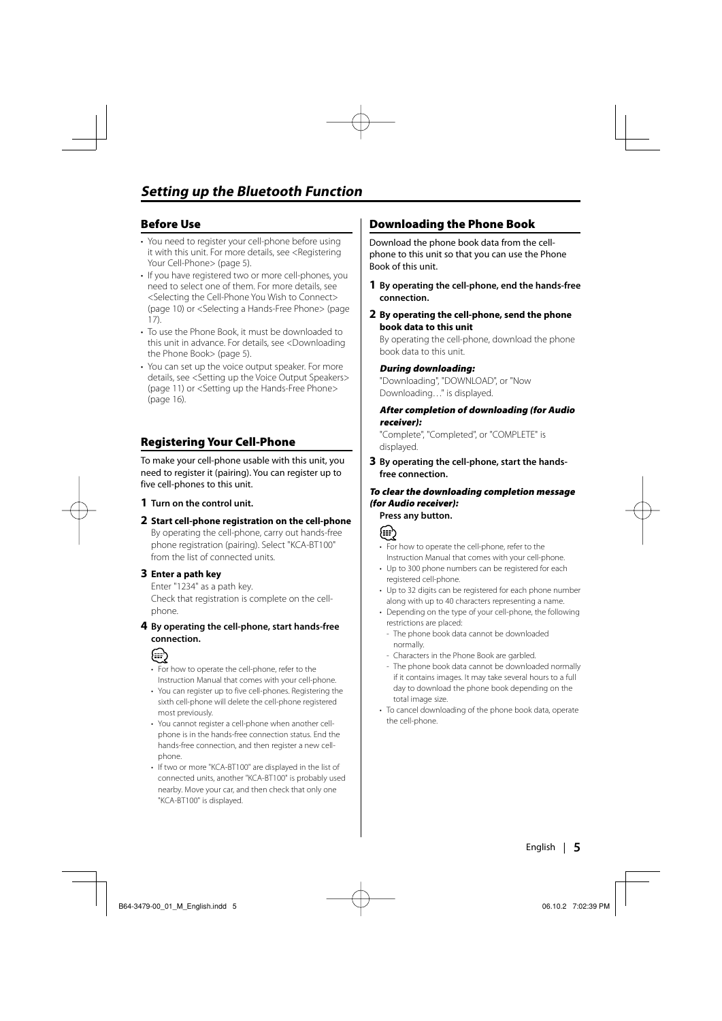#### **Before Use**

- You need to register your cell-phone before using it with this unit. For more details, see <Registering Your Cell-Phone> (page 5).
- If you have registered two or more cell-phones, you need to select one of them. For more details, see <Selecting the Cell-Phone You Wish to Connect> (page 10) or <Selecting a Hands-Free Phone> (page 17).
- To use the Phone Book, it must be downloaded to this unit in advance. For details, see <Downloading the Phone Book> (page 5).
- You can set up the voice output speaker. For more details, see <Setting up the Voice Output Speakers> (page 11) or <Setting up the Hands-Free Phone> (page 16).

#### **Registering Your Cell-Phone**

To make your cell-phone usable with this unit, you need to register it (pairing). You can register up to five cell-phones to this unit.

- **1 Turn on the control unit.**
- **2 Start cell-phone registration on the cell-phone** By operating the cell-phone, carry out hands-free phone registration (pairing). Select "KCA-BT100" from the list of connected units.

#### **3 Enter a path key**

Enter "1234" as a path key. Check that registration is complete on the cellphone.

#### **4 By operating the cell-phone, start hands-free connection.**



- For how to operate the cell-phone, refer to the Instruction Manual that comes with your cell-phone.
- You can register up to five cell-phones. Registering the sixth cell-phone will delete the cell-phone registered most previously.
- You cannot register a cell-phone when another cellphone is in the hands-free connection status. End the hands-free connection, and then register a new cellphone.
- If two or more "KCA-BT100" are displayed in the list of connected units, another "KCA-BT100" is probably used nearby. Move your car, and then check that only one "KCA-BT100" is displayed.

#### **Downloading the Phone Book**

Download the phone book data from the cellphone to this unit so that you can use the Phone Book of this unit.

- **1 By operating the cell-phone, end the hands-free connection.**
- **2 By operating the cell-phone, send the phone book data to this unit**

By operating the cell-phone, download the phone book data to this unit.

#### **During downloading:**

"Downloading", "DOWNLOAD", or "Now Downloading…" is displayed.

#### **After completion of downloading (for Audio receiver):**

"Complete", "Completed", or "COMPLETE" is displayed.

**3 By operating the cell-phone, start the handsfree connection.** 

#### **To clear the downloading completion message (for Audio receiver): Press any button.**



- For how to operate the cell-phone, refer to the Instruction Manual that comes with your cell-phone.
- Up to 300 phone numbers can be registered for each registered cell-phone.
- Up to 32 digits can be registered for each phone number along with up to 40 characters representing a name.
- Depending on the type of your cell-phone, the following restrictions are placed:
	- The phone book data cannot be downloaded normally.
	- Characters in the Phone Book are garbled.
	- The phone book data cannot be downloaded normally if it contains images. It may take several hours to a full day to download the phone book depending on the total image size.
- To cancel downloading of the phone book data, operate the cell-phone.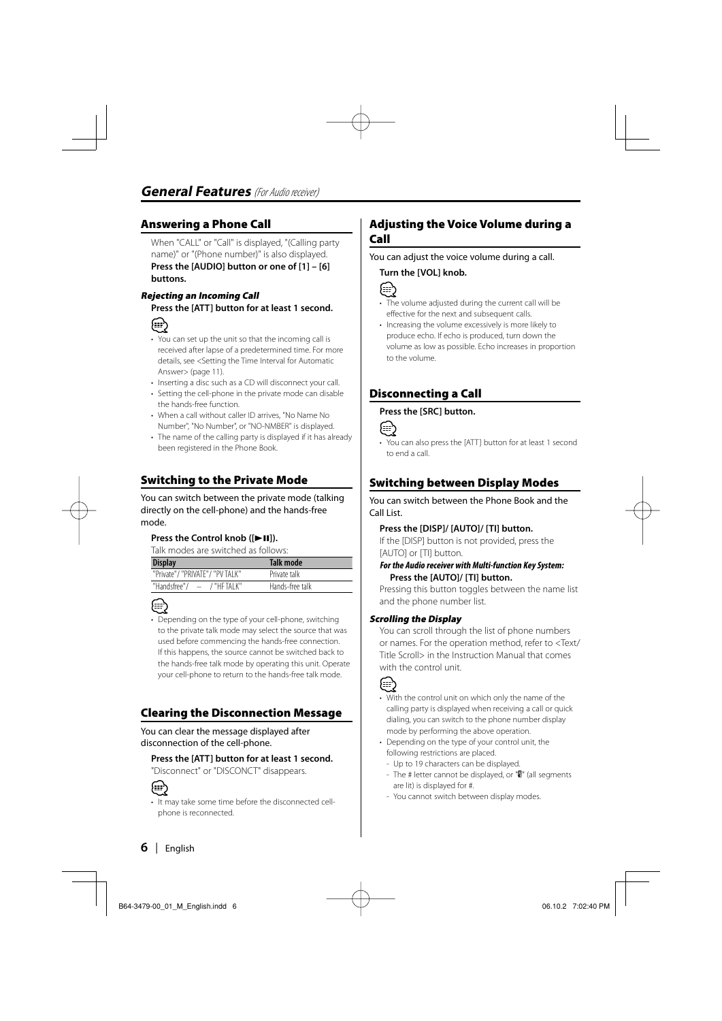#### **Answering a Phone Call**

When "CALL" or "Call" is displayed, "(Calling party name)" or "(Phone number)" is also displayed. **Press the [AUDIO] button or one of [1] – [6] buttons.**

#### **Rejecting an Incoming Call**

**Press the [ATT] button for at least 1 second.**



- You can set up the unit so that the incoming call is received after lapse of a predetermined time. For more details, see <Setting the Time Interval for Automatic Answer> (page 11).
- Inserting a disc such as a CD will disconnect your call.
- Setting the cell-phone in the private mode can disable the hands-free function.
- When a call without caller ID arrives, "No Name No Number", "No Number", or "NO-NMBER" is displayed.
- The name of the calling party is displayed if it has already been registered in the Phone Book.

#### **Switching to the Private Mode**

You can switch between the private mode (talking directly on the cell-phone) and the hands-free mode.

#### **Press the Control knob ([▶II]).**

Talk modes are switched as follows:

| <b>Display</b>                  | Talk mode       |
|---------------------------------|-----------------|
| "Private"/ "PRIVATE"/ "PV TALK" | Private talk    |
| "Handsfree"/ $-$ /"HF TAI K"    | Hands-free talk |



• Depending on the type of your cell-phone, switching to the private talk mode may select the source that was used before commencing the hands-free connection. If this happens, the source cannot be switched back to the hands-free talk mode by operating this unit. Operate your cell-phone to return to the hands-free talk mode.

#### **Clearing the Disconnection Message**

You can clear the message displayed after disconnection of the cell-phone.

#### **Press the [ATT] button for at least 1 second.**

"Disconnect" or "DISCONCT" disappears.



• It may take some time before the disconnected cellphone is reconnected.

#### **Adjusting the Voice Volume during a Call**

You can adjust the voice volume during a call.

#### **Turn the [VOL] knob.**



- The volume adjusted during the current call will be effective for the next and subsequent calls.
- Increasing the volume excessively is more likely to produce echo. If echo is produced, turn down the volume as low as possible. Echo increases in proportion to the volume.

#### **Disconnecting a Call**

#### **Press the [SRC] button.**



• You can also press the [ATT] button for at least 1 second to end a call.

#### **Switching between Display Modes**

You can switch between the Phone Book and the Call List.

#### **Press the [DISP]/ [AUTO]/ [TI] button.**

If the [DISP] button is not provided, press the [AUTO] or [TI] button.

#### **For the Audio receiver with Multi-function Key System: Press the [AUTO]/ [TI] button.**

Pressing this button toggles between the name list and the phone number list.

#### **Scrolling the Display**

You can scroll through the list of phone numbers or names. For the operation method, refer to <Text/ Title Scroll> in the Instruction Manual that comes with the control unit.



- With the control unit on which only the name of the calling party is displayed when receiving a call or quick dialing, you can switch to the phone number display mode by performing the above operation.
- Depending on the type of your control unit, the following restrictions are placed.
- Up to 19 characters can be displayed.
- The # letter cannot be displayed, or "" (all segments are lit) is displayed for #.
- You cannot switch between display modes.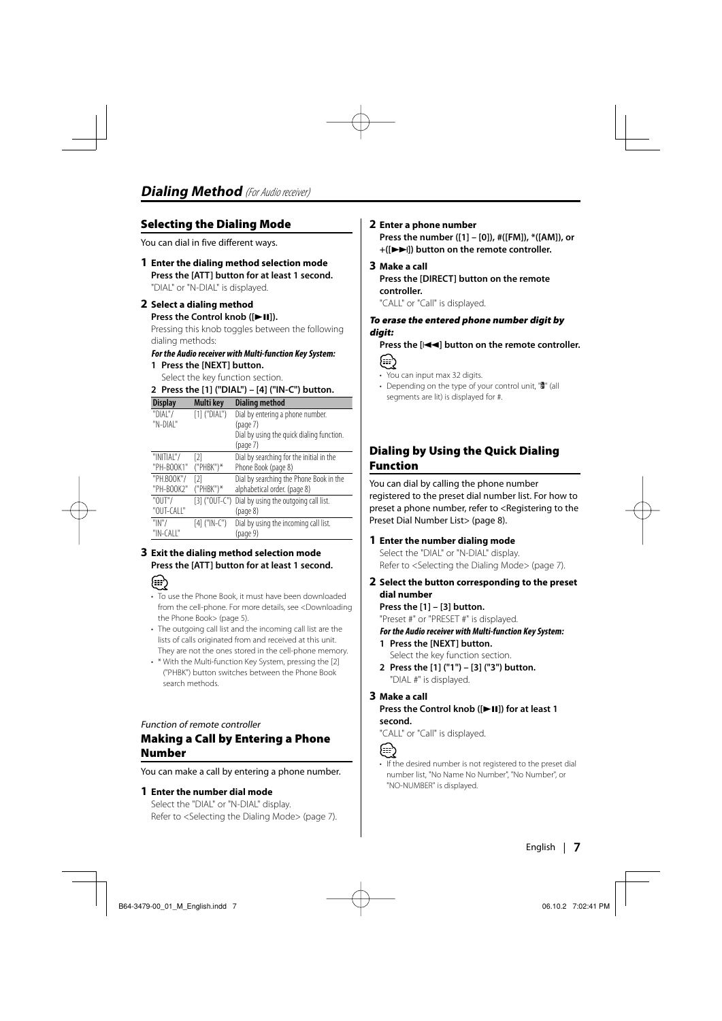#### **Selecting the Dialing Mode**

You can dial in five different ways.

**1 Enter the dialing method selection mode Press the [ATT] button for at least 1 second.** "DIAL" or "N-DIAL" is displayed.

#### **2 Select a dialing method**

#### **Press the Control knob ([** $>$ **11]).**

Pressing this knob toggles between the following dialing methods:

#### **For the Audio receiver with Multi-function Key System:**

#### **1 Press the [NEXT] button.**

Select the key function section.

#### **2 Press the [1] ("DIAL") – [4] ("IN-C") button.**

| <b>Display</b> | Multi key         | <b>Dialing method</b>                     |
|----------------|-------------------|-------------------------------------------|
| "DIAL"/        | $[1]$ ("DIAL")    | Dial by entering a phone number.          |
| "N-DIAL"       |                   | (page 7)                                  |
|                |                   | Dial by using the quick dialing function. |
|                |                   | (page 7)                                  |
| "INITIAL"/     | $\lceil 2 \rceil$ | Dial by searching for the initial in the  |
| "PH-BOOK1"     | $("PHBK")$ *      | Phone Book (page 8)                       |
| "PH.BOOK"/     | [2]               | Dial by searching the Phone Book in the   |
| "PH-BOOK2"     | ("PHBK")*         | alphabetical order. (page 8)              |
| "0UT"/         | $[3]$ ("OUT-C")   | Dial by using the outgoing call list.     |
| "OUT-CALL"     |                   | (page 8)                                  |
| " $N$ "/       | $[4]$ (" $N-C$ ") | Dial by using the incoming call list.     |
| "IN-CALL"      |                   | (page 9)                                  |
|                |                   |                                           |

#### **3 Exit the dialing method selection mode Press the [ATT] button for at least 1 second.**



- To use the Phone Book, it must have been downloaded from the cell-phone. For more details, see <Downloading the Phone Book> (page 5).
- The outgoing call list and the incoming call list are the lists of calls originated from and received at this unit. They are not the ones stored in the cell-phone memory.
- \* With the Multi-function Key System, pressing the [2] ("PHBK") button switches between the Phone Book search methods.

#### Function of remote controller

#### **Making a Call by Entering a Phone Number**

You can make a call by entering a phone number.

#### **1 Enter the number dial mode**

Select the "DIAL" or "N-DIAL" display. Refer to <Selecting the Dialing Mode> (page 7).

#### **2 Enter a phone number**

**Press the number ([1] – [0]), #([FM]), \*([AM]), or +([**¢**]) button on the remote controller.**

#### **3 Make a call**

**Press the [DIRECT] button on the remote controller.**

"CALL" or "Call" is displayed.

#### **To erase the entered phone number digit by digit:**

**Press the [**4**] button on the remote controller.**

ጮ

- You can input max 32 digits.
- Depending on the type of your control unit, """ (all segments are lit) is displayed for #.

#### **Dialing by Using the Quick Dialing Function**

You can dial by calling the phone number registered to the preset dial number list. For how to preset a phone number, refer to <Registering to the Preset Dial Number List> (page 8).

#### **1 Enter the number dialing mode**

Select the "DIAL" or "N-DIAL" display. Refer to <Selecting the Dialing Mode> (page 7).

**2 Select the button corresponding to the preset dial number**

**Press the [1] – [3] button.** "Preset #" or "PRESET #" is displayed.

#### **For the Audio receiver with Multi-function Key System:**

- **1 Press the [NEXT] button.** Select the key function section.
- **2 Press the [1] ("1") [3] ("3") button.** "DIAL #" is displayed.

#### **3 Make a call Press the Control knob ([▶II]) for at least 1 second.**

"CALL" or "Call" is displayed.

#### €∋∖

• If the desired number is not registered to the preset dial number list, "No Name No Number", "No Number", or "NO-NUMBER" is displayed.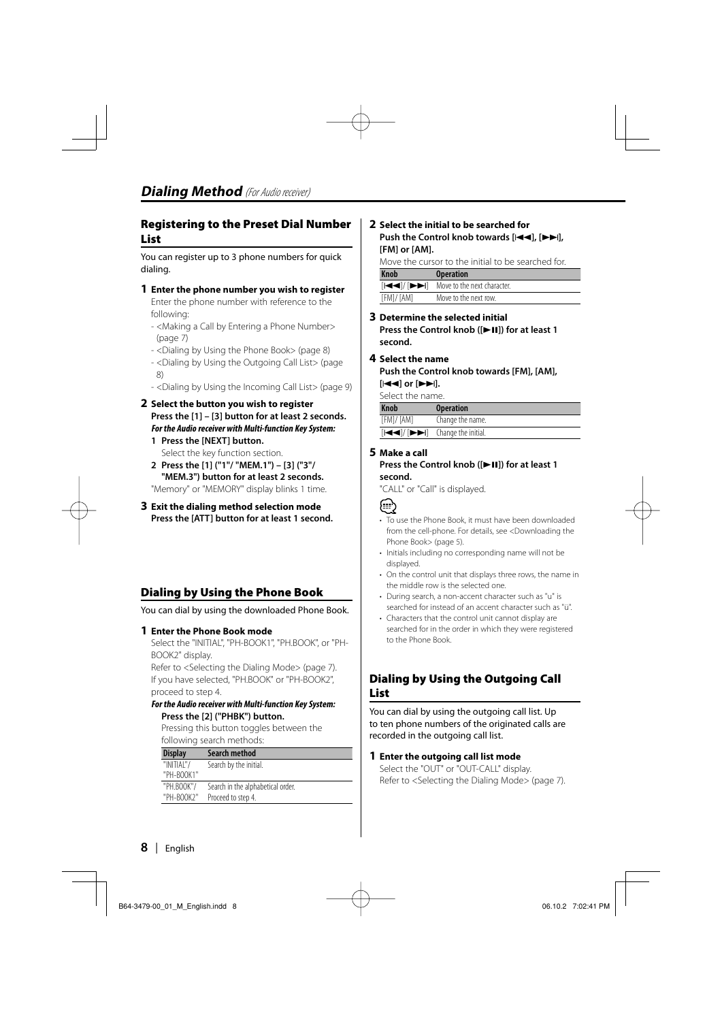#### **Registering to the Preset Dial Number List**

You can register up to 3 phone numbers for quick dialing.

#### **1 Enter the phone number you wish to register**

Enter the phone number with reference to the following:

- <Making a Call by Entering a Phone Number> (page 7)
- <Dialing by Using the Phone Book> (page 8)
- <Dialing by Using the Outgoing Call List> (page 8)
- <Dialing by Using the Incoming Call List> (page 9)
- **2 Select the button you wish to register Press the [1] – [3] button for at least 2 seconds. For the Audio receiver with Multi-function Key System:**
	- **1 Press the [NEXT] button.** Select the key function section.
	- **2 Press the [1] ("1"/ "MEM.1") [3] ("3"/ "MEM.3") button for at least 2 seconds.** "Memory" or "MEMORY" display blinks 1 time.
- **3 Exit the dialing method selection mode Press the [ATT] button for at least 1 second.**

#### **Dialing by Using the Phone Book**

You can dial by using the downloaded Phone Book.

#### **1 Enter the Phone Book mode**

Select the "INITIAL", "PH-BOOK1", "PH.BOOK", or "PH-BOOK2" display.

Refer to <Selecting the Dialing Mode> (page 7). If you have selected, "PH.BOOK" or "PH-BOOK2", proceed to step 4.

#### **For the Audio receiver with Multi-function Key System: Press the [2] ("PHBK") button.**

Pressing this button toggles between the following search methods:

| <b>Display</b> | Search method                     |
|----------------|-----------------------------------|
| "INITIAI"/     | Search by the initial.            |
| "PH-BOOK1"     |                                   |
| "PH.BOOK"/     | Search in the alphabetical order. |
| "PH-BOOK2"     | Proceed to step 4.                |

#### **2 Select the initial to be searched for Push the Control knob towards [** $\leftarrow$ **], [** $\rightarrow$ **], [FM] or [AM].**

Move the cursor to the initial to be searched for.

| <b>Knob</b> | <b>Operation</b>                                                         |
|-------------|--------------------------------------------------------------------------|
|             | $[ \blacktriangleleft /\blacktriangleleft ]$ Move to the next character. |
| [FM]/ [AM]  | Move to the next row.                                                    |

#### **3 Determine the selected initial Press the Control knob ([** $\blacktriangleright$  **II]) for at least 1 second.**

#### **4 Select the name**

**Push the Control knob towards [FM], [AM], [**4**] or [**¢**].**

Select the name.

| <b>Knob</b> | <b>Operation</b>                                                   |
|-------------|--------------------------------------------------------------------|
| [FM]/ [AM]  | Change the name.                                                   |
|             | [ $\leftarrow$ / [ $\leftarrow$ $\leftarrow$ ] Change the initial. |

#### **5 Make a call**

#### **Press the Control knob ([▶II]) for at least 1 second.**

"CALL" or "Call" is displayed.



- To use the Phone Book, it must have been downloaded from the cell-phone. For details, see <Downloading the Phone Book> (page 5).
- Initials including no corresponding name will not be displayed.
- On the control unit that displays three rows, the name in the middle row is the selected one.
- During search, a non-accent character such as "u" is searched for instead of an accent character such as "ü".
- Characters that the control unit cannot display are searched for in the order in which they were registered to the Phone Book.

#### **Dialing by Using the Outgoing Call List**

You can dial by using the outgoing call list. Up to ten phone numbers of the originated calls are recorded in the outgoing call list.

#### **1 Enter the outgoing call list mode**

Select the "OUT" or "OUT-CALL" display. Refer to <Selecting the Dialing Mode> (page 7).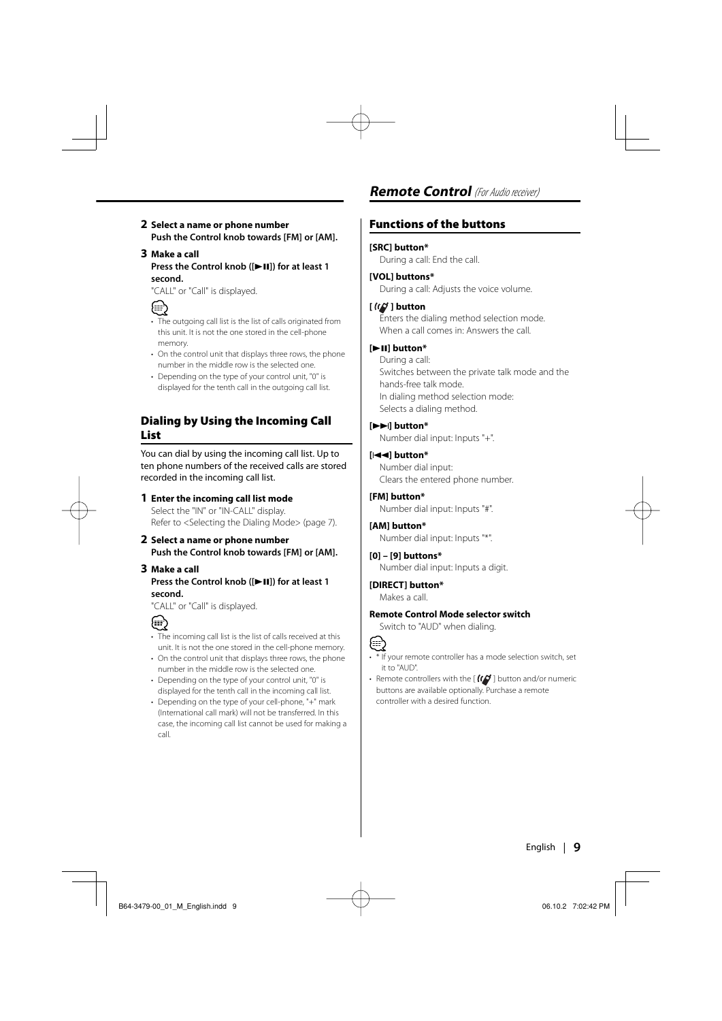#### **2 Select a name or phone number Push the Control knob towards [FM] or [AM].**

#### **3 Make a call Press the Control knob ([** $\blacktriangleright$  **II]) for at least 1 second.**

"CALL" or "Call" is displayed.



- The outgoing call list is the list of calls originated from this unit. It is not the one stored in the cell-phone memory.
- On the control unit that displays three rows, the phone number in the middle row is the selected one.
- Depending on the type of your control unit, "0" is displayed for the tenth call in the outgoing call list.

#### **Dialing by Using the Incoming Call List**

You can dial by using the incoming call list. Up to ten phone numbers of the received calls are stored recorded in the incoming call list.

#### **1 Enter the incoming call list mode** Select the "IN" or "IN-CALL" display.

Refer to <Selecting the Dialing Mode> (page 7).

**2 Select a name or phone number Push the Control knob towards [FM] or [AM].**

#### **3 Make a call Press the Control knob ([▶II]) for at least 1 second.**

"CALL" or "Call" is displayed.



- The incoming call list is the list of calls received at this unit. It is not the one stored in the cell-phone memory.
- On the control unit that displays three rows, the phone number in the middle row is the selected one.
- Depending on the type of your control unit, "0" is displayed for the tenth call in the incoming call list.
- Depending on the type of your cell-phone, "+" mark (International call mark) will not be transferred. In this case, the incoming call list cannot be used for making a call.

### **Remote Control** *(For Audio receiver)*

#### **Functions of the buttons**

#### **[SRC] button\***

During a call: End the call.

#### **[VOL] buttons\***

During a call: Adjusts the voice volume.

#### **[ ] button**

Enters the dialing method selection mode. When a call comes in: Answers the call.

#### **[**38**] button\***

During a call: Switches between the private talk mode and the hands-free talk mode. In dialing method selection mode: Selects a dialing method.

#### **[**¢**] button\***

Number dial input: Inputs "+".

#### **[**4**] button\***

Number dial input: Clears the entered phone number.

#### **[FM] button\***

Number dial input: Inputs "#".

#### **[AM] button\***

Number dial input: Inputs "\*".

#### **[0] – [9] buttons\***

Number dial input: Inputs a digit.

#### **[DIRECT] button\*** Makes a call.

#### **Remote Control Mode selector switch**

Switch to "AUD" when dialing.



- \* If your remote controller has a mode selection switch, set it to "AUD".
- Remote controllers with the  $[ (Q^{\prime}]$  button and/or numeric buttons are available optionally. Purchase a remote controller with a desired function.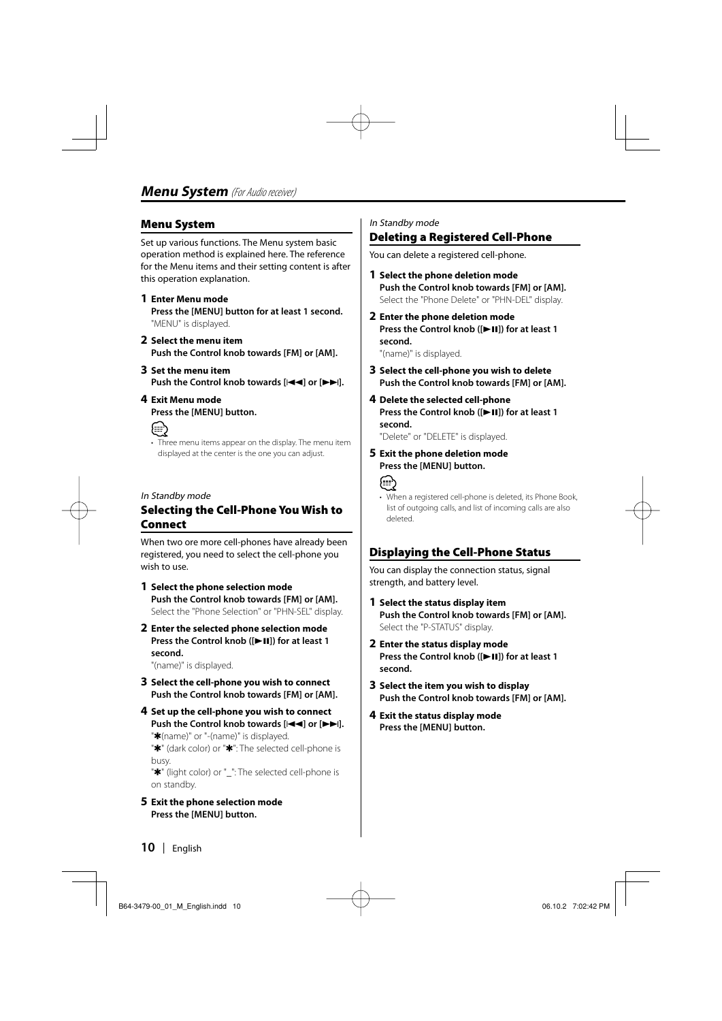#### **Menu System**

Set up various functions. The Menu system basic operation method is explained here. The reference for the Menu items and their setting content is after this operation explanation.

#### **1 Enter Menu mode**

**Press the [MENU] button for at least 1 second.** "MENU" is displayed.

- **2 Select the menu item Push the Control knob towards [FM] or [AM].**
- **3 Set the menu item Push the Control knob towards [** $\neq$  **| or**  $\neq$  **|**  $\neq$  **|**  $\neq$  **|**  $\neq$  **|**  $\neq$  **|**  $\neq$  **|**  $\neq$  **|**  $\neq$  **|**  $\neq$  **|**  $\neq$  **|**  $\neq$  **|**  $\neq$  **|**  $\neq$  **|**  $\neq$  **|**  $\neq$  **|**  $\neq$  **|**  $\neq$  **|**  $\neq$  **|**  $\neq$  **|**  $\neq$  **|**  $\neq$  **|**  $\neq$  **| \ne**
- **4 Exit Menu mode Press the [MENU] button.**



• Three menu items appear on the display. The menu item displayed at the center is the one you can adjust.

#### In Standby mode

#### **Selecting the Cell-Phone You Wish to Connect**

When two ore more cell-phones have already been registered, you need to select the cell-phone you wish to use.

- **1 Select the phone selection mode Push the Control knob towards [FM] or [AM].** Select the "Phone Selection" or "PHN-SEL" display.
- **2 Enter the selected phone selection mode Press the Control knob ([** $\blacktriangleright$  **<b>II**]) for at least 1 **second.**

"(name)" is displayed.

- **3 Select the cell-phone you wish to connect Push the Control knob towards [FM] or [AM].**
- **4 Set up the cell-phone you wish to connect** Push the Control knob towards [ $\blacktriangleleft$ **4**] or  $\blacktriangleright$  $\blacktriangleright$ ]. "\*(name)" or "-(name)" is displayed. "✱" (dark color) or "✱": The selected cell-phone is busy.

"<sup>\*</sup> (light color) or " ": The selected cell-phone is on standby.

**5 Exit the phone selection mode Press the [MENU] button.**

#### In Standby mode

#### **Deleting a Registered Cell-Phone**

You can delete a registered cell-phone.

- **1 Select the phone deletion mode Push the Control knob towards [FM] or [AM].** Select the "Phone Delete" or "PHN-DEL" display.
- **2 Enter the phone deletion mode Press the Control knob ([** $\blacktriangleright$  **[1]) for at least 1 second.**

"(name)" is displayed.

**3 Select the cell-phone you wish to delete Push the Control knob towards [FM] or [AM].**

#### **4 Delete the selected cell-phone Press the Control knob ([▶II]) for at least 1 second.**

"Delete" or "DELETE" is displayed.

**5 Exit the phone deletion mode Press the [MENU] button.**



• When a registered cell-phone is deleted, its Phone Book, list of outgoing calls, and list of incoming calls are also deleted.

#### **Displaying the Cell-Phone Status**

You can display the connection status, signal strength, and battery level.

- **1 Select the status display item Push the Control knob towards [FM] or [AM].** Select the "P-STATUS" display.
- **2 Enter the status display mode Press the Control knob ([** $\blacktriangleright$  **[1]) for at least 1 second.**
- **3 Select the item you wish to display Push the Control knob towards [FM] or [AM].**
- **4 Exit the status display mode Press the [MENU] button.**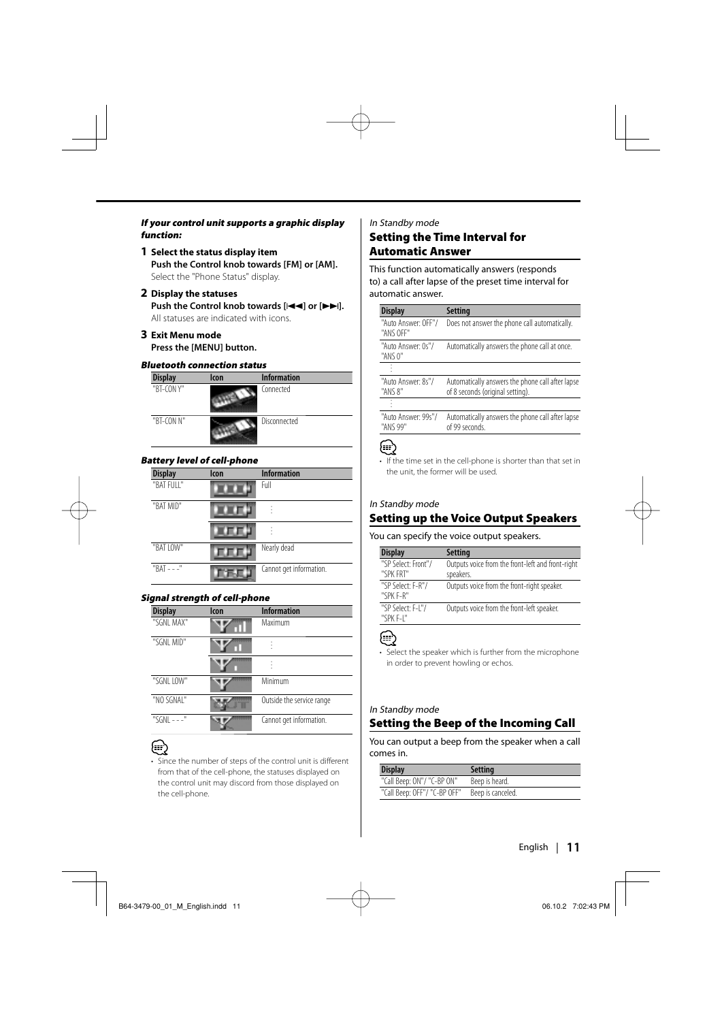#### **If your control unit supports a graphic display function:**

- **1 Select the status display item Push the Control knob towards [FM] or [AM].** Select the "Phone Status" display.
- **2 Display the statuses Push the Control knob towards [44] or [** $\blacktriangleright$ **].** All statuses are indicated with icons.

#### **3 Exit Menu mode Press the [MENU] button.**

#### **Bluetooth connection status**

| <b>Display</b> | <b>Icon</b> | <b>Information</b> |
|----------------|-------------|--------------------|
| "BT-CON Y"     |             | Connected          |
| "BT-CON N"     |             | Disconnected       |

#### **Battery level of cell-phone**

| <b>Display</b> | <b>Icon</b> | <b>Information</b>      |
|----------------|-------------|-------------------------|
| "BAT FULL"     |             | Full                    |
| "BAT MID"      |             |                         |
|                |             | ٠                       |
| "BAT LOW"      |             | Nearly dead             |
| $"BAT - -"$    |             | Cannot get information. |

#### **Signal strength of cell-phone**

| <b>Display</b> | lcon | <b>Information</b>        |
|----------------|------|---------------------------|
| "SGNI MAX"     |      | Maximum                   |
| "SGNL MID"     |      |                           |
|                |      |                           |
| "SGNL LOW"     |      | Minimum                   |
| "NO SGNAI"     |      | Outside the service range |
| "SGNI - - -"   |      | Cannot get information.   |

• Since the number of steps of the control unit is different from that of the cell-phone, the statuses displayed on the control unit may discord from those displayed on the cell-phone.

#### In Standby mode

#### **Setting the Time Interval for Automatic Answer**

This function automatically answers (responds to) a call after lapse of the preset time interval for automatic answer.

| Setting                                                                              |
|--------------------------------------------------------------------------------------|
| Does not answer the phone call automatically.                                        |
| Automatically answers the phone call at once.                                        |
|                                                                                      |
| Automatically answers the phone call after lapse<br>of 8 seconds (original setting). |
|                                                                                      |
| Automatically answers the phone call after lapse<br>of 99 seconds.                   |
|                                                                                      |

#### (≡)

• If the time set in the cell-phone is shorter than that set in the unit, the former will be used.

#### In Standby mode

#### **Setting up the Voice Output Speakers**

#### You can specify the voice output speakers.

| <b>Display</b>                   | Setting                                                        |
|----------------------------------|----------------------------------------------------------------|
| "SP Select: Front"/<br>"SPK FRT" | Outputs voice from the front-left and front-right<br>speakers. |
| "SP Select: F-R"/<br>"SPK F-R"   | Outputs voice from the front-right speaker.                    |
| "SP Select: F-I"/<br>"SPK F-I"   | Outputs voice from the front-left speaker.                     |

• Select the speaker which is further from the microphone in order to prevent howling or echos.

#### In Standby mode

#### **Setting the Beep of the Incoming Call**

You can output a beep from the speaker when a call comes in.

| <b>Display</b>               | <b>Setting</b>    |
|------------------------------|-------------------|
| "Call Beep: ON"/ "C-BP ON"   | Beep is heard.    |
| "Call Beep: OFF"/ "C-BP OFF" | Beep is canceled. |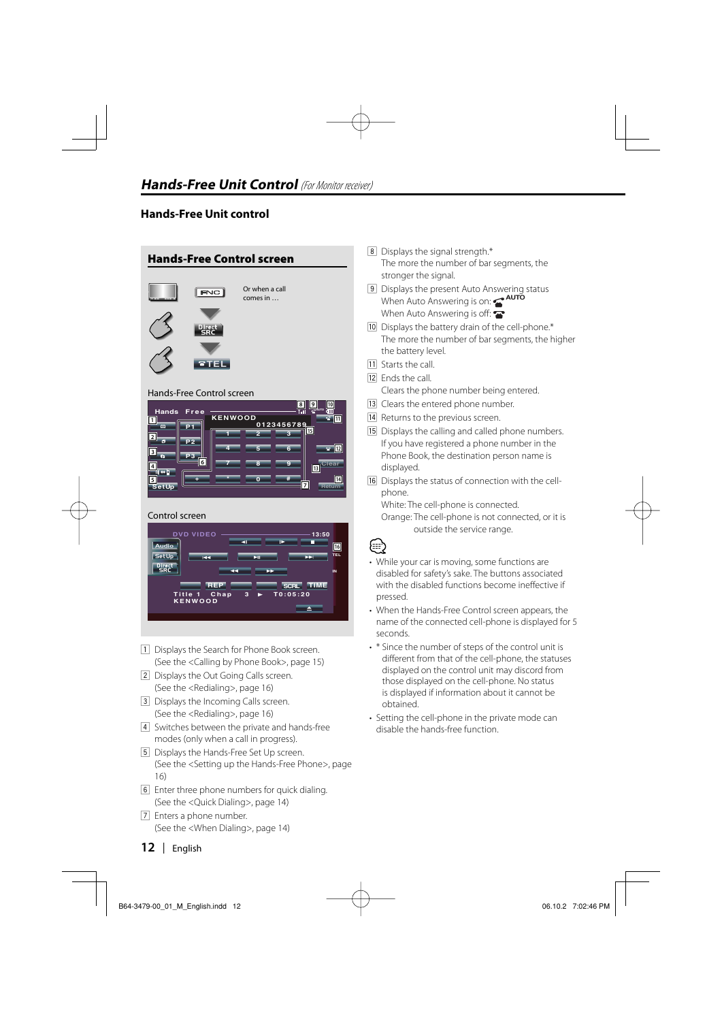#### **Hands-Free Unit control**



#### **SetUp 7 8 0 9 + \* # 5 6 7 4**

#### Control screen

**3**

**P3**



- 1 Displays the Search for Phone Book screen. (See the <Calling by Phone Book>, page 15)
- 2 Displays the Out Going Calls screen. (See the <Redialing>, page 16)
- 3 Displays the Incoming Calls screen. (See the <Redialing>, page 16)
- 4 Switches between the private and hands-free modes (only when a call in progress).
- 5 Displays the Hands-Free Set Up screen. (See the <Setting up the Hands-Free Phone>, page 16)
- 6 Enter three phone numbers for quick dialing. (See the <Quick Dialing>, page 14)
- 7 Enters a phone number. (See the <When Dialing>, page 14)
- 8 Displays the signal strength.\* The more the number of bar segments, the stronger the signal.
- 9 Displays the present Auto Answering status When Auto Answering is on: **AUTO** When Auto Answering is off:
- 10 Displays the battery drain of the cell-phone.\* The more the number of bar segments, the higher the battery level.
- **11** Starts the call.
- 12 Ends the call
	- Clears the phone number being entered.
- [13] Clears the entered phone number.
- 14 Returns to the previous screen.
- [15] Displays the calling and called phone numbers. If you have registered a phone number in the Phone Book, the destination person name is displayed.
- 16 Displays the status of connection with the cellphone.

White: The cell-phone is connected.

Orange: The cell-phone is not connected, or it is outside the service range.



**Clear Return**

**13**

**14**

- While your car is moving, some functions are disabled for safety's sake. The buttons associated with the disabled functions become ineffective if pressed.
- When the Hands-Free Control screen appears, the name of the connected cell-phone is displayed for 5 seconds.
- \* Since the number of steps of the control unit is different from that of the cell-phone, the statuses displayed on the control unit may discord from those displayed on the cell-phone. No status is displayed if information about it cannot be obtained.
- Setting the cell-phone in the private mode can disable the hands-free function.

**12** |English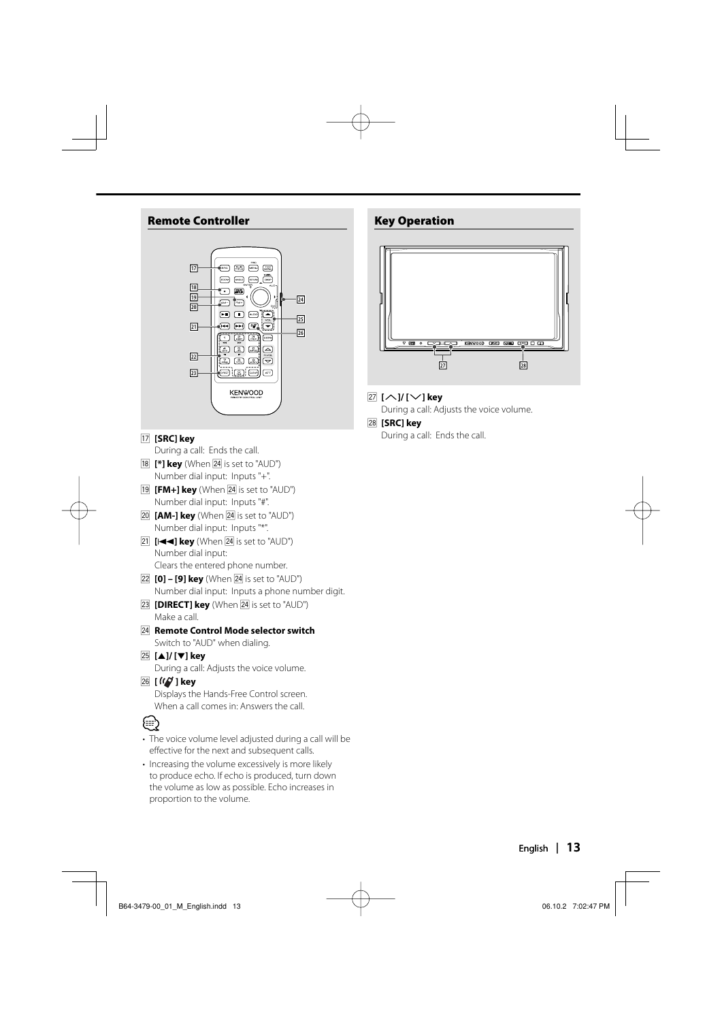#### **Remote Controller**



#### u **[SRC] key**

During a call: Ends the call.

- **18 [\*] key** (When **24** is set to "AUD") Number dial input: Inputs "+".
- $[19]$   $[FM+]$  key (When  $[24]$  is set to "AUD") Number dial input: Inputs "#".
- **[20] <b>[AM-] key** (When [24] is set to "AUD") Number dial input: Inputs "\*".
- $\boxed{21}$   $[$   $\boxed{+4}$   $\boxed{4}$   $\boxed{key}$  (When  $\boxed{24}$  is set to "AUD") Number dial input: Clears the entered phone number.
- **[22] [0] [9] key** (When **[24**] is set to "AUD") Number dial input: Inputs a phone number digit.
- **[23] <b>[DIRECT] key** (When **24** is set to "AUD") Make a call.
- **[24] Remote Control Mode selector switch** Switch to "AUD" when dialing.

#### g **[**5**]/ [**∞**] key**

During a call: Adjusts the voice volume.

 $\sqrt{26}$  **[** $\frac{1}{26}$  **]** key

Displays the Hands-Free Control screen. When a call comes in: Answers the call.

# {≡≡`

- The voice volume level adjusted during a call will be effective for the next and subsequent calls.
- Increasing the volume excessively is more likely to produce echo. If echo is produced, turn down the volume as low as possible. Echo increases in proportion to the volume.

#### **Key Operation**



#### **[27 [∧]/[∨] key**

During a call: Adjusts the voice volume.

#### k **[SRC] key**

During a call: Ends the call.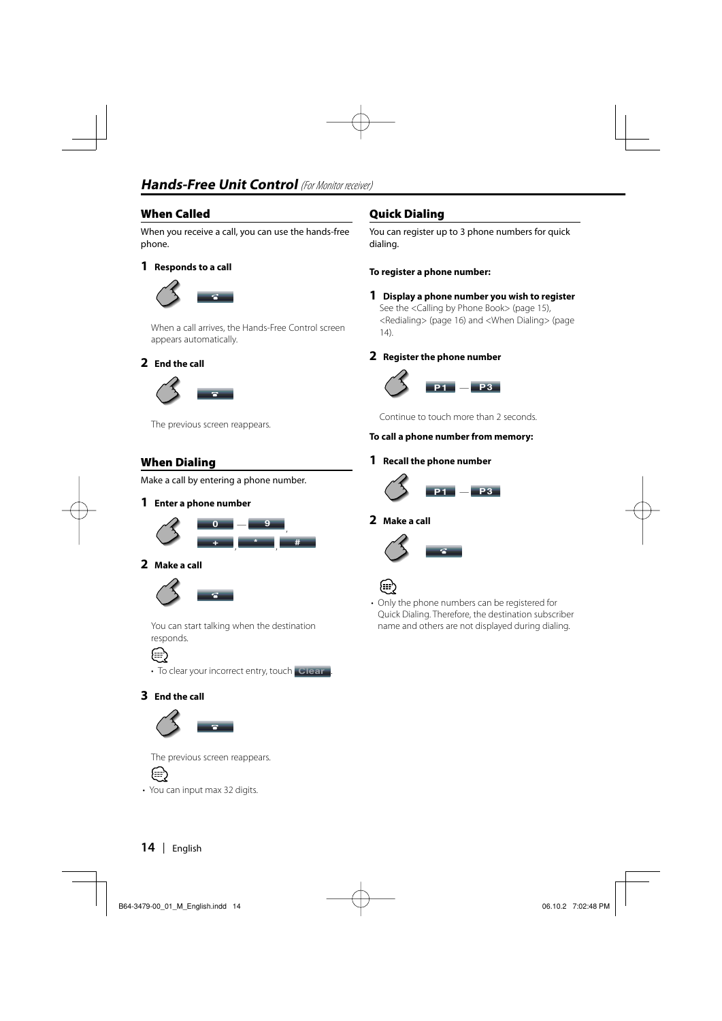#### **When Called**

When you receive a call, you can use the hands-free phone.

#### **1 Responds to a call**



When a call arrives, the Hands-Free Control screen appears automatically.

#### **2 End the call**



The previous screen reappears.

#### **When Dialing**

Make a call by entering a phone number.

#### **1 Enter a phone number**



#### **2 Make a call**



 You can start talking when the destination responds.



• To clear your incorrect entry, touch **Clear** .

#### **3 End the call**



The previous screen reappears.



• You can input max 32 digits.

#### **Quick Dialing**

You can register up to 3 phone numbers for quick dialing.

#### **To register a phone number:**

#### **1 Display a phone number you wish to register** See the <Calling by Phone Book> (page 15),

<Redialing> (page 16) and <When Dialing> (page 14).

#### **2 Register the phone number**



Continue to touch more than 2 seconds.

#### **To call a phone number from memory:**

#### **1 Recall the phone number**



#### **2 Make a call**





• Only the phone numbers can be registered for Quick Dialing. Therefore, the destination subscriber name and others are not displayed during dialing.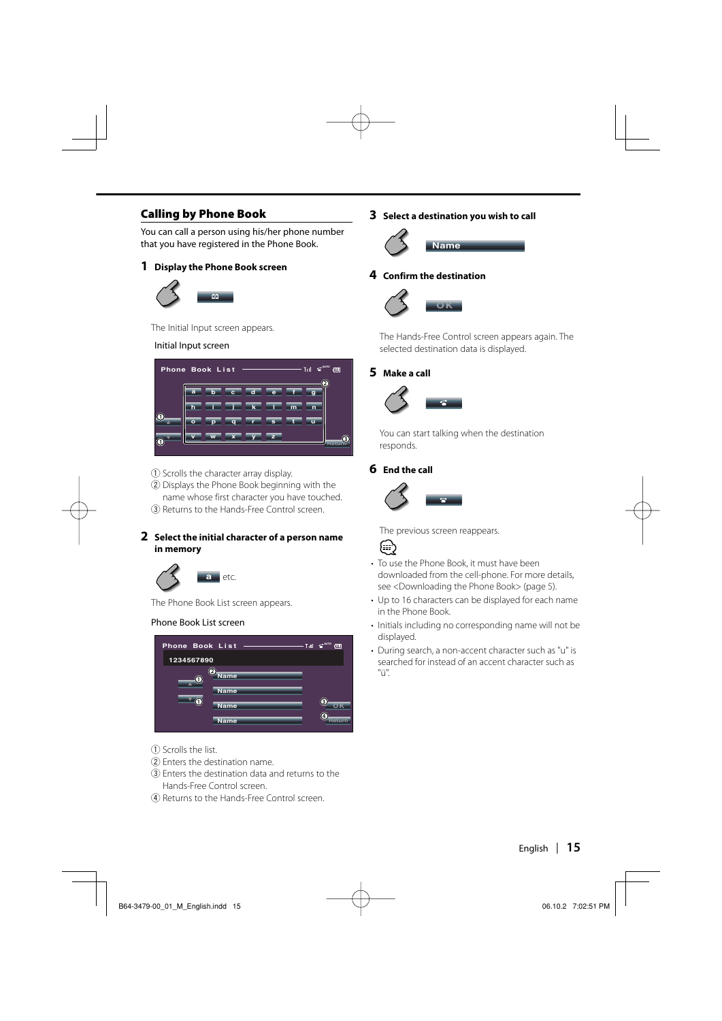#### **Calling by Phone Book**

You can call a person using his/her phone number that you have registered in the Phone Book.

#### **1 Display the Phone Book screen**



The Initial Input screen appears.

#### Initial Input screen



- 1 Scrolls the character array display.
- 2 Displays the Phone Book beginning with the name whose first character you have touched.
- 3 Returns to the Hands-Free Control screen.

#### **2 Select the initial character of a person name in memory**



The Phone Book List screen appears.

#### Phone Book List screen



- 1 Scrolls the list.
- 2 Enters the destination name.
- 3 Enters the destination data and returns to the Hands-Free Control screen.
- 4 Returns to the Hands-Free Control screen.

#### **3 Select a destination you wish to call**



#### **4 Confirm the destination**



The Hands-Free Control screen appears again. The selected destination data is displayed.

#### **5 Make a call**



 You can start talking when the destination responds.

#### **6 End the call**



The previous screen reappears.

# {≕}

- To use the Phone Book, it must have been downloaded from the cell-phone. For more details, see <Downloading the Phone Book> (page 5).
- Up to 16 characters can be displayed for each name in the Phone Book.
- Initials including no corresponding name will not be displayed.
- During search, a non-accent character such as "u" is searched for instead of an accent character such as "ü".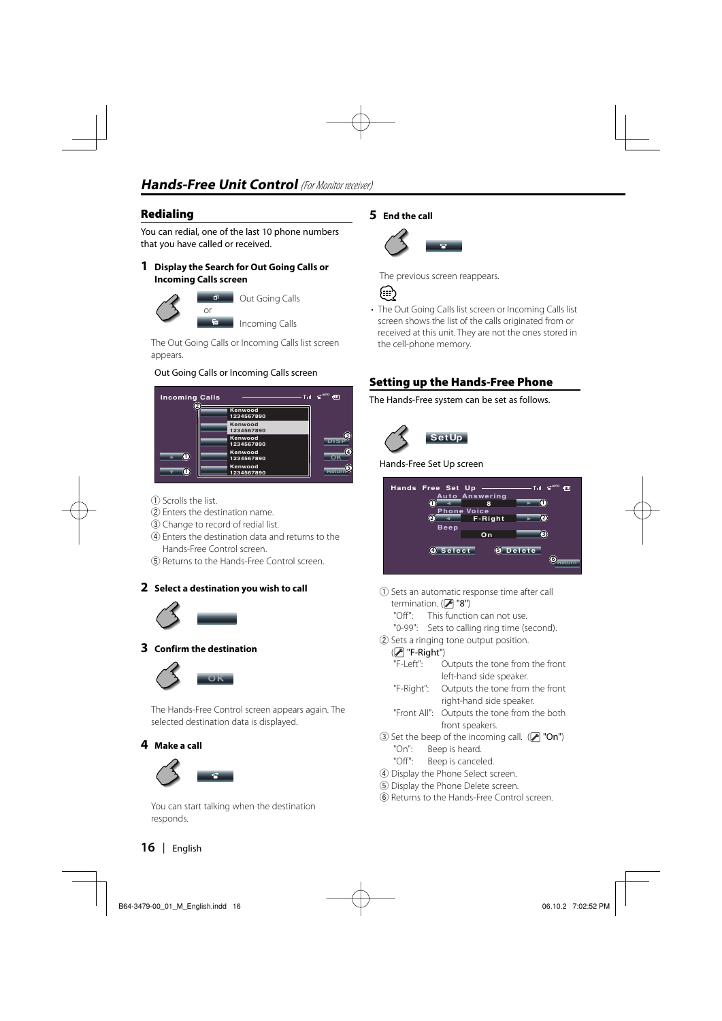#### **Redialing**

You can redial, one of the last 10 phone numbers that you have called or received.

#### **1 Display the Search for Out Going Calls or Incoming Calls screen**



 The Out Going Calls or Incoming Calls list screen appears.

#### Out Going Calls or Incoming Calls screen



- 1 Scrolls the list.
- 2 Enters the destination name.
- 3 Change to record of redial list.
- 4 Enters the destination data and returns to the Hands-Free Control screen.
- 5 Returns to the Hands-Free Control screen.

#### **2 Select a destination you wish to call**



#### **3 Confirm the destination**



The Hands-Free Control screen appears again. The selected destination data is displayed.

#### **4 Make a call**



 You can start talking when the destination responds.

#### **5 End the call**



The previous screen reappears.



• The Out Going Calls list screen or Incoming Calls list screen shows the list of the calls originated from or received at this unit. They are not the ones stored in the cell-phone memory.

#### **Setting up the Hands-Free Phone**

The Hands-Free system can be set as follows.



Hands-Free Set Up screen



1 Sets an automatic response time after call termination.  $(\mathscr{F}$  "8")

"Off": This function can not use.

"0-99": Sets to calling ring time (second).

2 Sets a ringing tone output position.

#### ( "F-Right")

- "F-Left": Outputs the tone from the front left-hand side speaker.
- "F-Right": Outputs the tone from the front right-hand side speaker.
- "Front All": Outputs the tone from the both front speakers.
- 3 Set the beep of the incoming call.  $(P'$  "On") "On": Beep is heard.
	- "Off": Beep is canceled.
- 4 Display the Phone Select screen.
- 5 Display the Phone Delete screen.
- 6 Returns to the Hands-Free Control screen.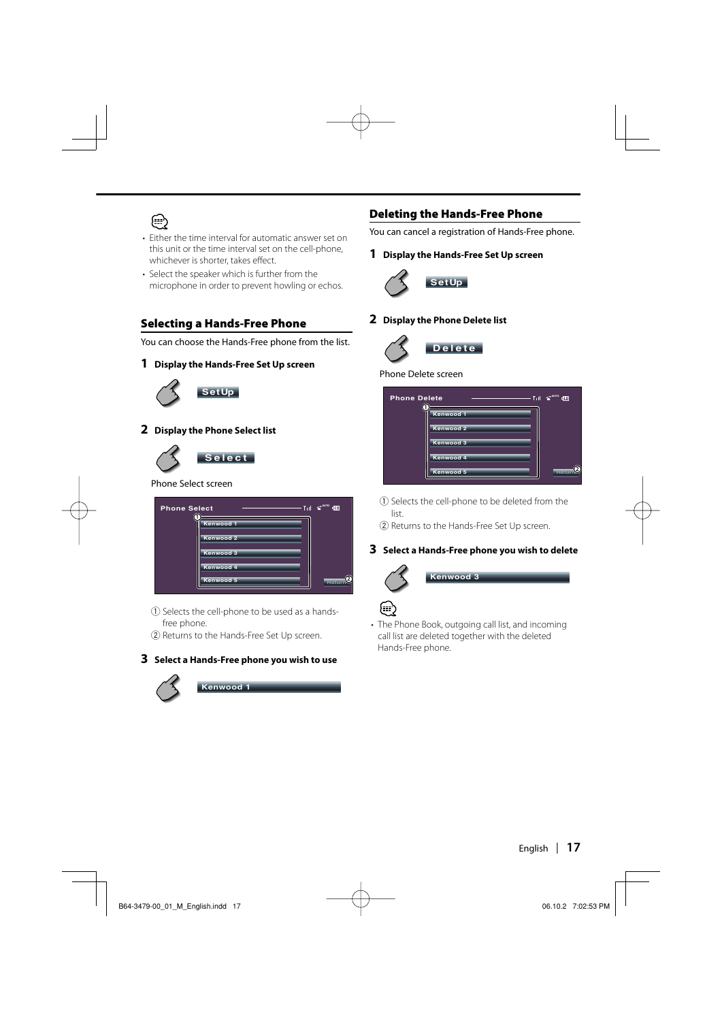

- Either the time interval for automatic answer set on this unit or the time interval set on the cell-phone, whichever is shorter, takes effect.
- Select the speaker which is further from the microphone in order to prevent howling or echos.

#### **Selecting a Hands-Free Phone**

You can choose the Hands-Free phone from the list.

**1 Display the Hands-Free Set Up screen**



**SetUp**

#### **2 Display the Phone Select list**



#### Phone Select screen



- 1 Selects the cell-phone to be used as a handsfree phone.
- 2 Returns to the Hands-Free Set Up screen.

#### **3 Select a Hands-Free phone you wish to use**



#### **Deleting the Hands-Free Phone**

You can cancel a registration of Hands-Free phone.

#### **1 Display the Hands-Free Set Up screen**



#### **2 Display the Phone Delete list**



#### Phone Delete screen

| <b>Phone Delete</b> | Till             | <b>AUTO</b><br><b>RTTT</b> |
|---------------------|------------------|----------------------------|
|                     | <b>Kenwood 1</b> |                            |
|                     | <b>Kenwood 2</b> |                            |
|                     | <b>Kenwood 3</b> |                            |
|                     | <b>Kenwood 4</b> |                            |
|                     | Kenwood 5        |                            |

- 1 Selects the cell-phone to be deleted from the list.
- 2 Returns to the Hands-Free Set Up screen.

#### **3 Select a Hands-Free phone you wish to delete**







#### • The Phone Book, outgoing call list, and incoming call list are deleted together with the deleted Hands-Free phone.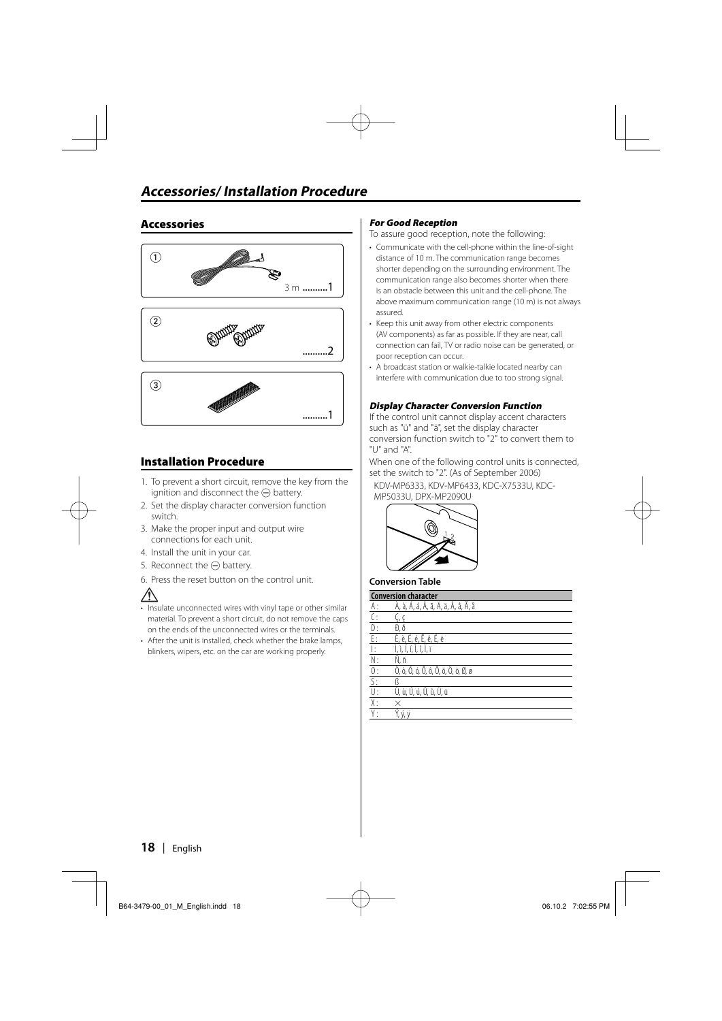#### **Accessories**



#### **Installation Procedure**

- 1. To prevent a short circuit, remove the key from the ignition and disconnect the  $\ominus$  battery.
- 2. Set the display character conversion function switch.
- 3. Make the proper input and output wire connections for each unit.
- 4. Install the unit in your car.
- 5. Reconnect the  $\ominus$  battery.
- 6. Press the reset button on the control unit.



- Insulate unconnected wires with vinyl tape or other similar material. To prevent a short circuit, do not remove the caps on the ends of the unconnected wires or the terminals.
- After the unit is installed, check whether the brake lamps, blinkers, wipers, etc. on the car are working properly.

#### **For Good Reception**

To assure good reception, note the following:

- Communicate with the cell-phone within the line-of-sight distance of 10 m. The communication range becomes shorter depending on the surrounding environment. The communication range also becomes shorter when there is an obstacle between this unit and the cell-phone. The above maximum communication range (10 m) is not always assured.
- Keep this unit away from other electric components (AV components) as far as possible. If they are near, call connection can fail, TV or radio noise can be generated, or poor reception can occur.
- A broadcast station or walkie-talkie located nearby can interfere with communication due to too strong signal.

#### **Display Character Conversion Function**

If the control unit cannot display accent characters such as "ü" and "ä", set the display character conversion function switch to "2" to convert them to "U" and "A".

When one of the following control units is connected. set the switch to "2". (As of September 2006)

 KDV-MP6333, KDV-MP6433, KDC-X7533U, KDC-MP5033U, DPX-MP2090U



#### **Conversion Table**

| <b>Conversion character</b> |                                         |
|-----------------------------|-----------------------------------------|
| A :                         | À, à, Á, á, Ã, ã, Ä, ä, Â, â, Å, å      |
|                             |                                         |
| D:                          | Ð, ð                                    |
| E:                          | È, è, É, é, Ê, ê, Ë, ë                  |
|                             | Í, í, Î, î, Ï, ï                        |
| N:                          | Ñ, ñ                                    |
| 0:                          | Ò, ò, Ó, ó, Ô, ô, Õ, õ, Ö, ö, Ø, ø      |
| $\overline{\mathsf{S}}$ :   |                                         |
| U:                          | Ù, ù, Ú, ú, Û, û, Ü, ü                  |
| Χ:                          |                                         |
|                             | $\overline{Y}$ , $\dot{Y}$ , $\ddot{Y}$ |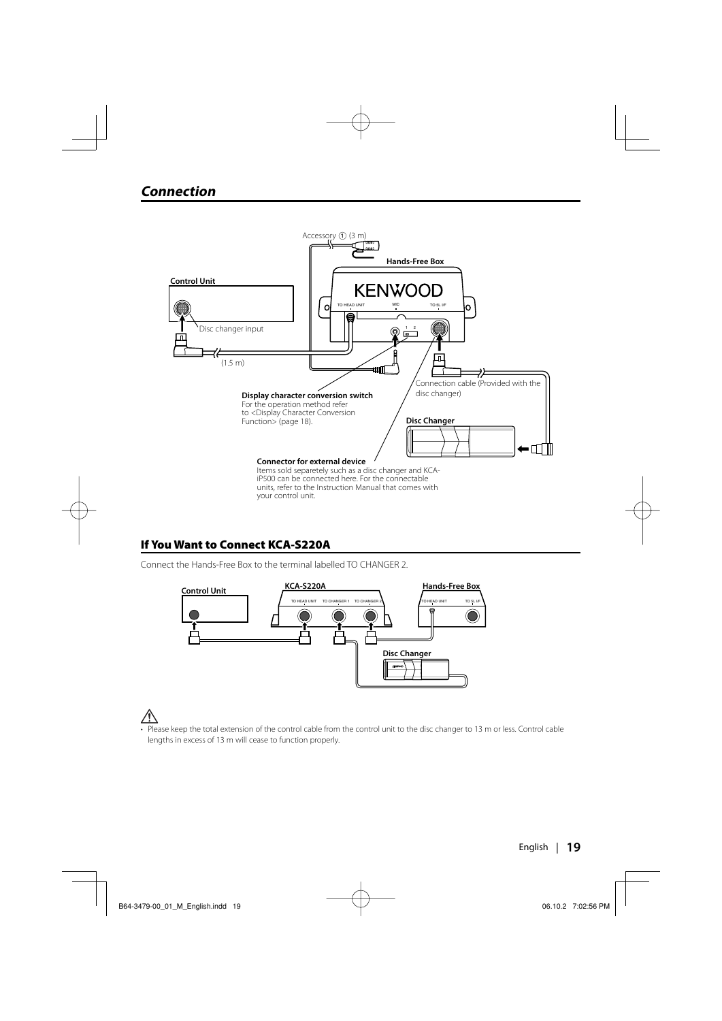

#### **If You Want to Connect KCA-S220A**

Connect the Hands-Free Box to the terminal labelled TO CHANGER 2.



• Please keep the total extension of the control cable from the control unit to the disc changer to 13 m or less. Control cable lengths in excess of 13 m will cease to function properly.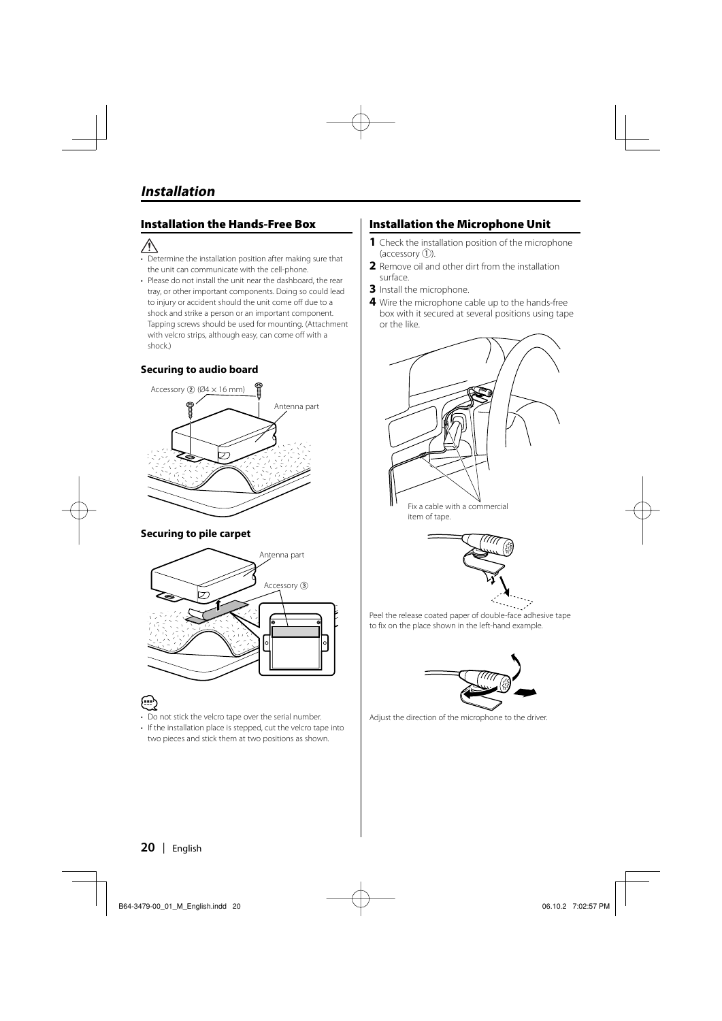#### **Installation the Hands-Free Box**

- $\bigwedge$
- Determine the installation position after making sure that the unit can communicate with the cell-phone.
- Please do not install the unit near the dashboard, the rear tray, or other important components. Doing so could lead to injury or accident should the unit come off due to a shock and strike a person or an important component. Tapping screws should be used for mounting. (Attachment with velcro strips, although easy, can come off with a shock.)

#### **Securing to audio board**



#### **Securing to pile carpet**



- Do not stick the velcro tape over the serial number.
- If the installation place is stepped, cut the velcro tape into two pieces and stick them at two positions as shown.

#### **Installation the Microphone Unit**

- **1** Check the installation position of the microphone  $(\text{accessory } (1)).$
- **2** Remove oil and other dirt from the installation surface.
- **3** Install the microphone.
- **4** Wire the microphone cable up to the hands-free box with it secured at several positions using tape or the like.



item of tape.



Peel the release coated paper of double-face adhesive tape to fix on the place shown in the left-hand example.



Adjust the direction of the microphone to the driver.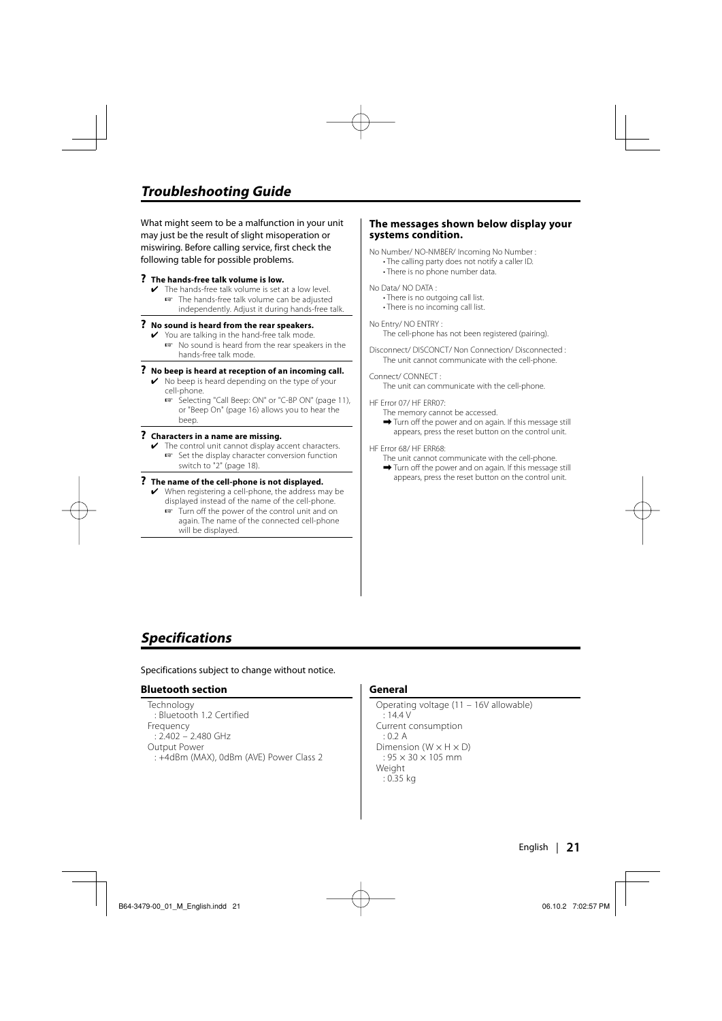## **Troubleshooting Guide**

What might seem to be a malfunction in your unit may just be the result of slight misoperation or miswiring. Before calling service, first check the following table for possible problems.

#### **? The hands-free talk volume is low.**

- The hands-free talk volume is set at a low level.
	- ☞ The hands-free talk volume can be adjusted independently. Adjust it during hands-free talk.

#### **? No sound is heard from the rear speakers.**

- ✔ You are talking in the hand-free talk mode.
	- ☞ No sound is heard from the rear speakers in the hands-free talk mode.

#### **? No beep is heard at reception of an incoming call.**

- $\vee$  No beep is heard depending on the type of your cell-phone.
	- ☞ Selecting "Call Beep: ON" or "C-BP ON" (page 11), or "Beep On" (page 16) allows you to hear the beep.

#### **? Characters in a name are missing.**

The control unit cannot display accent characters. ☞ Set the display character conversion function switch to "2" (page 18).

#### **? The name of the cell-phone is not displayed.**

- $\vee$  When registering a cell-phone, the address may be displayed instead of the name of the cell-phone.
	- ☞ Turn off the power of the control unit and on again. The name of the connected cell-phone will be displayed.

#### **The messages shown below display your systems condition.**

No Number/ NO-NMBER/ Incoming No Number :

- The calling party does not notify a caller ID.
- There is no phone number data.

No Data/ NO DATA :

- There is no outgoing call list.
- There is no incoming call list.

#### No Entry/ NO ENTRY :

The cell-phone has not been registered (pairing).

Disconnect/ DISCONCT/ Non Connection/ Disconnected : The unit cannot communicate with the cell-phone.

#### Connect/ CONNECT :

The unit can communicate with the cell-phone.

HF Error 07/ HF ERR07:

- The memory cannot be accessed.
- $\rightarrow$  Turn off the power and on again. If this message still appears, press the reset button on the control unit.

#### HF Error 68/ HF ERR68:

- The unit cannot communicate with the cell-phone.
- $\rightarrow$  Turn off the power and on again. If this message still appears, press the reset button on the control unit.

#### **Specifications**

Specifications subject to change without notice.

#### **Bluetooth section**

Technology : Bluetooth 1.2 Certified Frequency : 2.402 – 2.480 GHz Output Power : +4dBm (MAX), 0dBm (AVE) Power Class 2

#### **General**

Operating voltage (11 – 16V allowable)  $: 14.4 V$ Current consumption : 0.2 A Dimension ( $W \times H \times D$ )  $: 95 \times 30 \times 105$  mm Weight : 0.35 kg